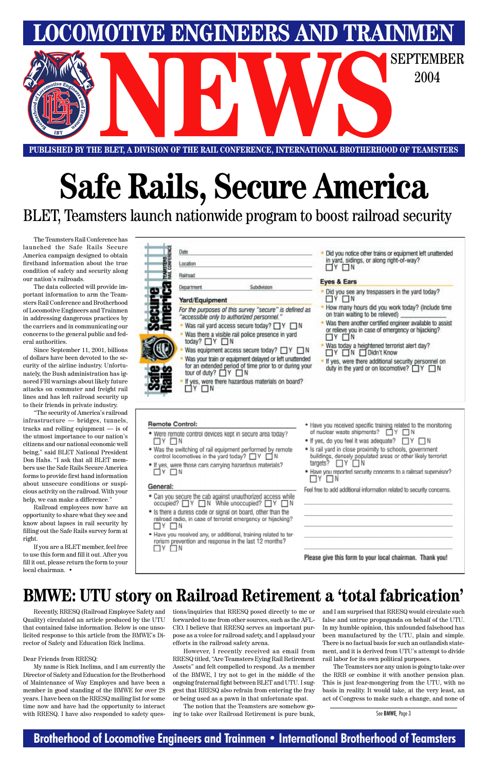### **Brotherhood of Locomotive Engineers and Trainmen • International Brotherhood of Teamsters**



### **PUBLISHED BY THE BLET, A DIVISION OF THE RAIL CONFERENCE, INTERNATIONAL BROTHERHOOD OF TEAMSTERS**

# **Safe Rails, Secure America**

BLET, Teamsters launch nationwide program to boost railroad security

The Teamsters Rail Conference has launched the Safe Rails Secure America campaign designed to obtain firsthand information about the true condition of safety and security along our nation's railroads.

The data collected will provide important information to arm the Teamsters Rail Conference and Brotherhood of Locomotive Engineers and Trainmen in addressing dangerous practices by the carriers and in communicating our concerns to the general public and federal authorities.

Since September 11, 2001, billions of dollars have been devoted to the security of the airline industry. Unfortunately, the Bush administration has ignored FBI warnings about likely future attacks on commuter and freight rail lines and has left railroad security up to their friends in private industry.

"The security of America's railroad infrastructure — bridges, tunnels, tracks and rolling eqiupment — is of the utmost importance to our nation's citizens and our national economic well being," said BLET National President Don Hahs. "I ask that all BLET members use the Safe Rails Secure America forms to provide first hand information about unsecure conditions or suspicious activity on the railroad. With your help, we can make a difference."

Railroad employees now have an opportunity to share what they see and know about lapses in rail security by filling out the Safe Rails survey form at right.

If you are a BLET member, feel free to use this form and fill it out. After you fill it out, please return the form to your

| Date                                                                                                                                                  | Did you notice other trains or equipment left unattended                                                                           |
|-------------------------------------------------------------------------------------------------------------------------------------------------------|------------------------------------------------------------------------------------------------------------------------------------|
| Location                                                                                                                                              | in yard, sidings, or along right-of-way?<br>TY ETN                                                                                 |
| Railroad                                                                                                                                              |                                                                                                                                    |
| Subdivision<br><b>Department</b>                                                                                                                      | Eyes & Ears                                                                                                                        |
| Yard/Equipment                                                                                                                                        | Did you see any trespassers in the yard today?<br>tty tin                                                                          |
| For the purposes of this survey "secure" is defined as<br>"accessible only to authorized personnel."                                                  | How many hours did you work today? (Include time<br>on train waiting to be relieved)                                               |
| Was rail yard access secure today? $\Box Y \Box N$<br>Was there a visible rail police presence in yard                                                | Was there another certified engineer available to assist<br>or relieve you in case of emergency or hijacking?<br>$\Box$ y $\Box$ n |
| today? NY N<br>Was equipment access secure today? $\Box Y \Box N$                                                                                     | Was today a heightened terrorist alert day?<br>N Didn't Know                                                                       |
| Was your train or equipment delayed or left unattended<br>for an extended period of time prior to or during your<br>tour of duty? $\Box$ $Y$ $\Box$ N | If yes, were there additional security personnel on<br>duty in the yard or on locomotive? N N                                      |
| If yes, were there hazardous materials on board?<br>EN                                                                                                |                                                                                                                                    |

### **Remote Control:**

- . Were remote control devices kept in secure area today?  $\square$ y  $\square$ n
- . Was the switching of rail equipment performed by remote control locomotives in the yard today? □ Y □ N
- . If yes, were those cars carrying hazardous materials?  $\square$ y  $\square$ n

#### General:

- Can you secure the cab against unauthorized access while<br>occupied?  $\Box Y \Box N$  While unoccupied?  $\Box Y \Box N$
- . Is there a duress code or signal on board, other than the railroad radio, in case of terrorist emergency or hijacking? אם ים
- · Have you received any, or additional, training related to terrorism prevention and response in the last 12 months?  $\Box$ y  $\Box$ n
- \* Have you received specific training related to the monitoring of nuclear waste shipments?  $\square Y \square N$
- If yes, do you feel it was adequate? □ Y □ N
- · Is rail yard in close proximity to schools, government buildings, densely populated areas or other likely terrorist targets?  $\Box$  Y  $\Box$  N
- . Have you reported security concerns to a railroad supervisor? □Y □N

Feel free to add additional information related to security concerns.

Please give this form to your local chairman. Thank you!

### **BMWE: UTU story on Railroad Retirement a 'total fabrication'**

Recently, RRESQ (Railroad Employee Safety and Quality) circulated an article produced by the UTU that contained false information. Below is one unsolicited response to this article from the BMWE's Director of Safety and Education Rick Inclima.

#### Dear Friends from RRESQ:

My name is Rick Inclima, and I am currently the Director of Safety and Education for the Brotherhood of Maintenance of Way Employes and have been a member in good standing of the BMWE for over 28 years. I have been on the RRESQ mailing list for some time now and have had the opportunity to interact with RRESQ. I have also responded to safety ques-

tions/inquiries that RRESQ posed directly to me or forwarded to me from other sources, such as the AFL-CIO. I believe that RRESQ serves an important purpose as a voice for railroad safety, and I applaud your efforts in the railroad safety arena.

However, I recently received an email from RRESQ titled, "Are Teamsters Eying Rail Retirement Assets" and felt compelled to respond. As a member of the BMWE, I try not to get in the middle of the ongoing fraternal fight between BLET and UTU. I suggest that RRESQ also refrain from entering the fray or being used as a pawn in that unfortunate spat.

The notion that the Teamsters are somehow going to take over Railroad Retirement is pure bunk, and I am surprised that RRESQ would circulate such false and untrue propaganda on behalf of the UTU. In my humble opinion, this unfounded falsehood has been manufactured by the UTU, plain and simple. There is no factual basis for such an outlandish statement, and it is derived from UTU's attempt to divide rail labor for its own political purposes.

The Teamsters nor any union is going to take over the RRB or combine it with another pension plan. This is just fear-mongering from the UTU, with no basis in reality. It would take, at the very least, an act of Congress to make such a change, and none of

See BMWE, Page 3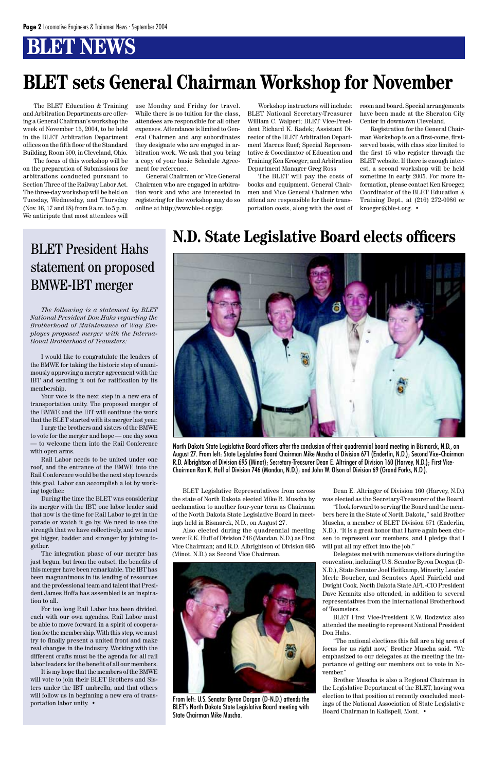The BLET Education & Training and Arbitration Departments are offering a General Chairman's workshop the week of November 15, 2004, to be held in the BLET Arbitration Department offices on the fifth floor of the Standard Building, Room 500, in Cleveland, Ohio.

The focus of this workshop will be on the preparation of Submissions for arbitrations conducted pursuant to Section Three of the Railway Labor Act. The three-day workshop will be held on Tuesday, Wednesday, and Thursday (Nov. 16, 17 and 18) from 9 a.m. to 5 p.m. We anticipate that most attendees will

use Monday and Friday for travel. While there is no tuition for the class, attendees are responsible for all other expenses. Attendance is limited to General Chairmen and any subordinates they designate who are engaged in arbitration work. We ask that you bring a copy of your basic Schedule Agreement for reference.

General Chairmen or Vice General Chairmen who are engaged in arbitration work and who are interested in registering for the workshop may do so online at http://www.ble-t.org/gc

Workshop instructors will include: BLET National Secretary-Treasurer William C. Walpert; BLET Vice-President Richard K. Radek; Assistant Director of the BLET Arbitration Department Marcus Ruef; Special Representative & Coordinator of Education and Training Ken Kroeger; and Arbitration Department Manager Greg Ross

The BLET will pay the costs of books and equipment. General Chairmen and Vice General Chairmen who attend are responsible for their transportation costs, along with the cost of room and board. Special arrangements have been made at the Sheraton City Center in downtown Cleveland.

Registration for the General Chairman Workshop is on a first-come, firstserved basis, with class size limited to the first 15 who register through the BLET website. If there is enough interest, a second workshop will be held sometime in early 2005. For more information, please contact Ken Kroeger, Coordinator of the BLET Education & Training Dept., at (216) 272-0986 or kroeger@ble-t.org. •

## **BLET sets General Chairman Workshop for November**

*The following is a statement by BLET National President Don Hahs regarding the Brotherhood of Maintenance of Way Employes proposed merger with the International Brotherhood of Teamsters:*

I would like to congratulate the leaders of the BMWE for taking the historic step of unanimously approving a merger agreement with the IBT and sending it out for ratification by its membership.

Your vote is the next step in a new era of transportation unity. The proposed merger of the BMWE and the IBT will continue the work that the BLET started with its merger last year.

I urge the brothers and sisters of the BMWE to vote for the merger and hope — one day soon — to welcome them into the Rail Conference with open arms.

Rail Labor needs to be united under one roof, and the entrance of the BMWE into the Rail Conference would be the next step towards this goal. Labor can accomplish a lot by working together.

During the time the BLET was considering its merger with the IBT, one labor leader said that now is the time for Rail Labor to get in the parade or watch it go by. We need to use the strength that we have collectively, and we must get bigger, badder and stronger by joining together.

The integration phase of our merger has just begun, but from the outset, the benefits of this merger have been remarkable. The IBT has been magnanimous in its lending of resources and the professional team and talent that President James Hoffa has assembled is an inspiration to all. For too long Rail Labor has been divided, each with our own agendas. Rail Labor must be able to move forward in a spirit of cooperation for the membership. With this step, we must try to finally present a united front and make real changes in the industry. Working with the different crafts must be the agenda for all rail labor leaders for the benefit of all our members.

It is my hope that the members of the BMWE will vote to join their BLET Brothers and Sisters under the IBT umbrella, and that others will follow us in beginning a new era of transportation labor unity. •

BLET Legislative Representatives from across the state of North Dakota elected Mike R. Muscha by acclamation to another four-year term as Chairman of the North Dakota State Legislative Board in meetings held in Bismarck, N.D., on August 27.

Also elected during the quadrennial meeting were: R.K. Huff of Division 746 (Mandan, N.D.) as First Vice Chairman; and R.D. Albrightson of Division 695 (Minot, N.D.) as Second Vice Chairman.

### BLET President Hahs statement on proposed BMWE-IBT merger

Dean E. Altringer of Division 160 (Harvey, N.D.) was elected as the Secretary-Treasurer of the Board.

"I look forward to serving the Board and the members here in the State of North Dakota," said Brother Muscha, a member of BLET Division 671 (Enderlin, N.D.). "It is a great honor that I have again been chosen to represent our members, and I pledge that I will put all my effort into the job."

Delegates met with numerous visitors during the convention, including U.S. Senator Byron Dorgan (D-N.D.), State Senator Joel Heitkamp, Minority Leader Merle Boucher, and Senators April Fairfield and Dwight Cook. North Dakota State AFL-CIO President Dave Kemnitz also attended, in addition to several representatives from the International Brotherhood of Teamsters. BLET First Vice-President E.W. Rodzwicz also attended the meeting to represent National President Don Hahs. "The national elections this fall are a big area of focus for us right now," Brother Muscha said. "We emphasized to our delegates at the meeting the importance of getting our members out to vote in November." Brother Muscha is also a Regional Chairman in the Legislative Department of the BLET, having won election to that position at recently concluded meetings of the National Association of State Legislative Board Chairman in Kalispell, Mont. •

### **N.D. State Legislative Board elects officers**



North Dakota State Legislative Board officers after the conclusion of their quadrennial board meeting in Bismarck, N.D., on August 27. From left: State Legislative Board Chairman Mike Muscha of Division 671 (Enderlin, N.D.); Second Vice-Chairman R.D. Albrightson of Division 695 (Minot); Secretary-Treasurer Dean E. Altringer of Division 160 (Harvey, N.D.); First Vice-Chairman Ron K. Huff of Division 746 (Mandan, N.D.); and John W. Olson of Division 69 (Grand Forks, N.D.).



From left: U.S. Senator Byron Dorgan (D-N.D.) attends the BLET's North Dakota State Legislative Board meeting with State Chairman Mike Muscha.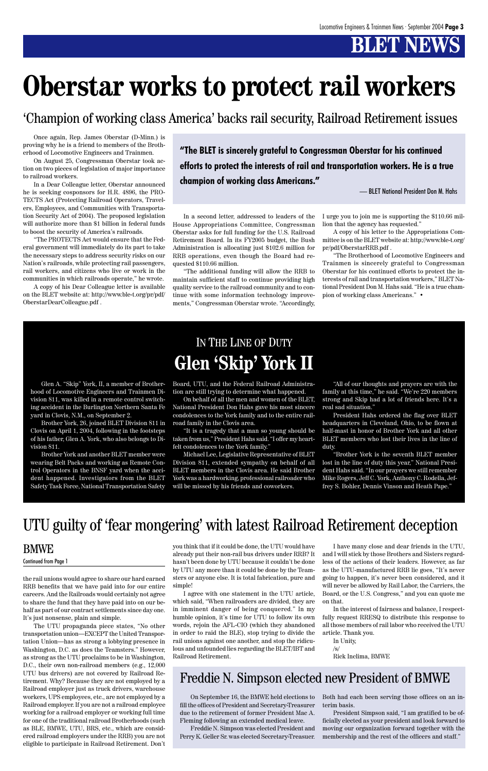the rail unions would agree to share our hard earned RRB benefits that we have paid into for our entire careers. And the Railroads would certainly not agree to share the fund that they have paid into on our behalf as part of our contract settlements since day one. It's just nonsense, plain and simple.

The UTU propaganda piece states, "No other transportation union—EXCEPT the United Transportation Union—has as strong a lobbying presence in Washington, D.C. as does the Teamsters." However, as strong as the UTU proclaims to be in Washington, D.C., their own non-railroad members (e.g., 12,000 UTU bus drivers) are not covered by Railroad Retirement. Why? Because they are not employed by a Railroad employer just as truck drivers, warehouse workers, UPS employees, etc., are not employed by a Railroad employer. If you are not a railroad employee working for a railroad employer or working full time for one of the traditional railroad Brotherhoods (such as BLE, BMWE, UTU, BRS, etc., which are considered railroad employers under the RRB) you are not eligible to participate in Railroad Retirement. Don't you think that if it could be done, the UTU would have already put their non-rail bus drivers under RRB? It hasn't been done by UTU because it couldn't be done by UTU any more than it could be done by the Teamsters or anyone else. It is total fabrication, pure and simple!

I agree with one statement in the UTU article, which said, "When railroaders are divided, they are in imminent danger of being conquered." In my humble opinion, it's time for UTU to follow its own words, rejoin the AFL-CIO (which they abandoned in order to raid the BLE), stop trying to divide the rail unions against one another, and stop the ridiculous and unfounded lies regarding the BLET/IBT and Railroad Retirement.

I have many close and dear friends in the UTU, and I will stick by those Brothers and Sisters regardless of the actions of their leaders. However, as far as the UTU-manufactured RRB lie goes, "It's never going to happen, it's never been considered, and it will never be allowed by Rail Labor, the Carriers, the Board, or the U.S. Congress," and you can quote me on that. In the interest of fairness and balance, I respectfully request RRESQ to distribute this response to all those members of rail labor who received the UTU article. Thank you.

In Unity,

/s/

Rick Inclima, BMWE

### IN THE LINE OF DUTY **Glen 'Skip' York II**

Glen A. "Skip" York, II, a member of Brotherhood of Locomotive Engineers and Trainmen Division 811, was killed in a remote control switching accident in the Burlington Northern Santa Fe yard in Clovis, N.M., on September 2.

Brother York, 26, joined BLET Division 811 in Clovis on April 1, 2004, following in the footsteps of his father, Glen A. York, who also belongs to Division 811.

Brother York and another BLET member were wearing Belt Packs and working as Remote Control Operators in the BNSF yard when the accident happened. Investigators from the BLET Safety Task Force, National Transportation Safety Board, UTU, and the Federal Railroad Administration are still trying to determine what happened.

On behalf of all the men and women of the BLET, National President Don Hahs gave his most sincere condolences to the York family and to the entire railroad family in the Clovis area.

"It is a tragedy that a man so young should be taken from us," President Hahs said. "I offer my heartfelt condolences to the York family."

Michael Lee, Legislative Representative of BLET Division 811, extended sympathy on behalf of all BLET members in the Clovis area. He said Brother York was a hardworking, professional railroader who will be missed by his friends and coworkers.

"All of our thoughts and prayers are with the family at this time," he said. "We're 220 members strong and Skip had a lot of friends here. It's a real sad situation."

President Hahs ordered the flag over BLET headquarters in Cleveland, Ohio, to be flown at half-mast in honor of Brother York and all other BLET members who lost their lives in the line of duty.

"Brother York is the seventh BLET member lost in the line of duty this year," National President Hahs said. "In our prayers we still remember Mike Rogers, Jeff C. York, Anthony C. Rodella, Jeffrey S. Bohler, Dennis Vinson and Heath Pape."

### UTU guilty of 'fear mongering' with latest Railroad Retirement deception

### BMWE Continued from Page 1

Once again, Rep. James Oberstar (D-Minn.) is proving why he is a friend to members of the Brotherhood of Locomotive Engineers and Trainmen.

On August 25, Congressman Oberstar took action on two pieces of legislation of major importance to railroad workers.

In a Dear Colleague letter, Oberstar announced he is seeking cosponsors for H.R. 4896, the PRO-TECTS Act (Protecting Railroad Operators, Travelers, Employees, and Communities with Transportation Security Act of 2004). The proposed legislation will authorize more than \$1 billion in federal funds to boost the security of America's railroads.

"The PROTECTS Act would ensure that the Federal government will immediately do its part to take the necessary steps to address security risks on our Nation's railroads, while protecting rail passengers, rail workers, and citizens who live or work in the communities in which railroads operate," he wrote.

A copy of his Dear Colleague letter is available on the BLET website at: http://www.ble-t.org/pr/pdf/ OberstarDearColleague.pdf .

In a second letter, addressed to leaders of the House Appropriations Committee, Congressman Oberstar asks for full funding for the U.S. Railroad Retirement Board. In its FY2005 budget, the Bush Administration is allocating just \$102.6 million for RRB operations, even though the Board had requested \$110.66 million.

"The additional funding will allow the RRB to maintain sufficient staff to continue providing high quality service to the railroad community and to continue with some information technology improvements," Congressman Oberstar wrote. "Accordingly,

## **Oberstar works to protect rail workers**

'Champion of working class America' backs rail security, Railroad Retirement issues

I urge you to join me is supporting the \$110.66 million that the agency has requested."

A copy of his letter to the Appropriations Committee is on the BLET website at: http://www.ble-t.org/ pr/pdf/OberstarRRB.pdf .

"The Brotherhood of Locomotive Engineers and Trainmen is sincerely grateful to Congressman Oberstar for his continued efforts to protect the interests of rail and transportation workers," BLET National President Don M. Hahs said. "He is a true champion of working class Americans." •

**"The BLET is sincerely grateful to Congressman Oberstar for his continued efforts to protect the interests of rail and transportation workers. He is a true champion of working class Americans."**

— BLET National President Don M. Hahs

### Freddie N. Simpson elected new President of BMWE

On September 16, the BMWE held elections to fill the offices of President and Secretary-Treasurer due to the retirement of former President Mac A. Fleming following an extended medical leave.

Freddie N. Simpson was elected President and Perry K. Geller Sr. was elected Secretary-Treasuer.

Both had each been serving those offices on an interim basis.

President Simpson said, "I am gratified to be officially elected as your president and look forward to moving our organization forward together with the membership and the rest of the officers and staff."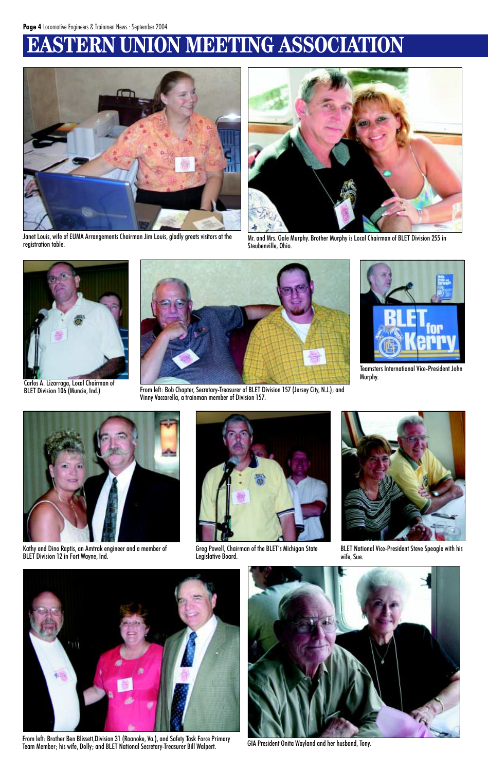## **EASTERN UNION MEETING ASSOCIATION**



Janet Louis, wife of EUMA Arrangements Chairman Jim Louis, gladly greets visitors at the



Mr. and Mrs. Gale Murphy. Brother Murphy is Local Chairman of BLET Division 255 in Steubenville, Ohio.





Teamsters International Vice-President John



BLET Division 106 (Muncie, Ind.) From left: Bob Chapter, Secretary-Treasurer of BLET Division 157 (Jersey City, N.J.); and Vinny Vaccarella, a trainman member of Division 157.



Greg Powell, Chairman of the BLET's Michigan State Legislative Board.



BLET National Vice-President Steve Speagle with his wife, Sue.



From left: Brother Ben Blissett,Division 31 (Roanoke, Va.), and Safety Task Force Primary Team Member; his wife, Dolly; and BLET National Secretary-Treasurer Bill Walpert. GIA President Onita Wayland and her husband, Tony.





Kathy and Dino Raptis, an Amtrak engineer and a member of BLET Division 12 in Fort Wayne, Ind.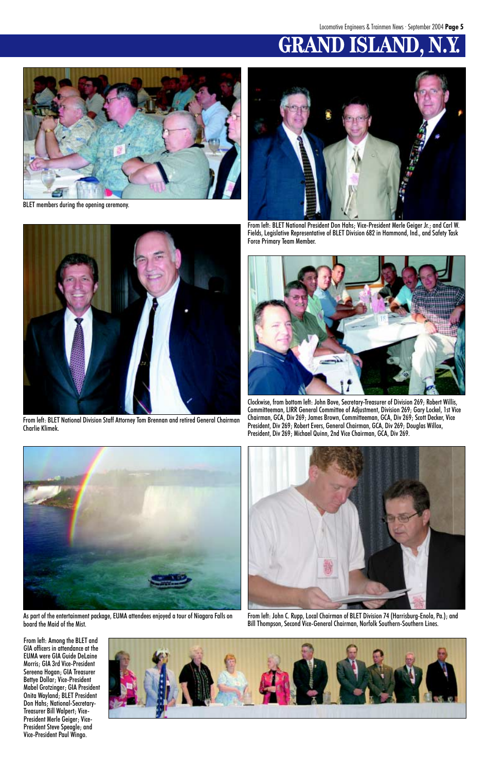## **GRAND ISLAN**



BLET members during the opening ceremony.



From left: BLET National President Don Hahs; Vice-President Merle Geiger Jr.; and Carl W. Fields, Legislative Representative of BLET Division 682 in Hammond, Ind., and Safety Task Force Primary Team Member.



From left: BLET National Division Staff Attorney Tom Brennan and retired General Chairman Charlie Klimek.





Clockwise, from bottom left: John Bove, Secretary-Treasurer of Division 269; Robert Willis, Committeeman, LIRR General Committee of Adjustment, Division 269; Gary Lockel, 1st Vice Chairman, GCA, Div 269; James Brown, Committeeman, GCA, Div 269; Scott Decker, Vice President, Div 269; Robert Evers, General Chairman, GCA, Div 269; Douglas Willox, President, Div 269; Michael Quinn, 2nd Vice Chairman, GCA, Div 269.

From left: John C. Rupp, Local Chairman of BLET Division 74 (Harrisburg-Enola, Pa.); and Bill Thompson, Second Vice-General Chairman, Norfolk Southern-Southern Lines.



As part of the entertainment package, EUMA attendees enjoyed a tour of Niagara Falls on board the Maid of the Mist.

From left: Among the BLET and GIA officers in attendance at the EUMA were GIA Guide DeLaine Morris; GIA 3rd Vice-President Sereena Hogan; GIA Treasurer Bettye Dollar; Vice-President Mabel Grotzinger; GIA President Onita Wayland; BLET President Don Hahs; National-Secretary-Treasurer Bill Walpert; Vice-President Merle Geiger; Vice-President Steve Speagle; and Vice-President Paul Wingo.

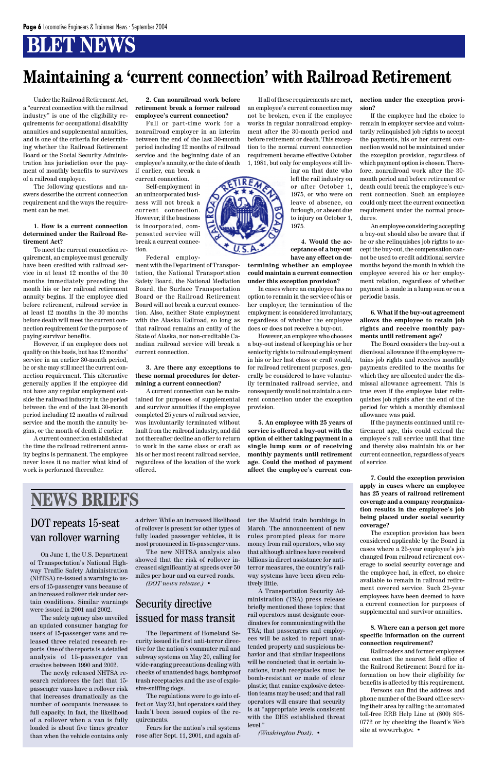Under the Railroad Retirement Act, a "current connection with the railroad industry" is one of the eligibility requirements for occupational disability annuities and supplemental annuities, and is one of the criteria for determining whether the Railroad Retirement Board or the Social Security Administration has jurisdiction over the payment of monthly benefits to survivors of a railroad employee.

The following questions and answers describe the current connection requirement and the ways the requirement can be met.

#### **1. How is a current connection determined under the Railroad Retirement Act?**

To meet the current connection requirement, an employee must generally have been credited with railroad service in at least 12 months of the 30 months immediately preceding the month his or her railroad retirement annuity begins. If the employee died before retirement, railroad service in at least 12 months in the 30 months before death will meet the current connection requirement for the purpose of paying survivor benefits.

However, if an employee does not qualify on this basis, but has 12 months' service in an earlier 30-month period, he or she may still meet the current connection requirement. This alternative generally applies if the employee did not have any regular employment outside the railroad industry in the period between the end of the last 30-month period including 12 months of railroad service and the month the annuity begins, or the month of death if earlier.

A current connection established at the time the railroad retirement annuity begins is permanent. The employee never loses it no matter what kind of work is performed thereafter.

**2. Can nonrailroad work before retirement break a former railroad employee's current connection?**

Full or part-time work for a nonrailroad employer in an interim between the end of the last 30-month period including 12 months of railroad service and the beginning date of an employee's annuity, or the date of death if earlier, can break a

current connection.

Self-employment in an unincorporated business will not break a current connection. However, if the business is incorporated, compensated service will break a current connection.

Federal employ-

ment with the Department of Transportation, the National Transportation Safety Board, the National Mediation Board, the Surface Transportation Board or the Railroad Retirement Board will not break a current connection. Also, neither State employment with the Alaska Railroad, so long as that railroad remains an entity of the State of Alaska, nor non-creditable Canadian railroad service will break a current connection.

#### **3. Are there any exceptions to these normal procedures for determining a current connection?**

A current connection can be maintained for purposes of supplemental and survivor annuities if the employee completed 25 years of railroad service, was involuntarily terminated without fault from the railroad industry, and did not thereafter decline an offer to return to work in the same class or craft as his or her most recent railroad service, regardless of the location of the work offered.

If all of these requirements are met, an employee's current connection may not be broken, even if the employee works in regular nonrailroad employment after the 30-month period and before retirement or death. This exception to the normal current connection requirement became effective October 1, 1981, but only for employees still liv-

> ing on that date who left the rail industry on or after October 1, 1975, or who were on leave of absence, on furlough, or absent due to injury on October 1, 1975.

> **4. Would the acceptance of a buy-out have any effect on de-**

**termining whether an employee could maintain a current connection under this exception provision?**

In cases where an employee has no option to remain in the service of his or her employer, the termination of the employment is considered involuntary, regardless of whether the employee does or does not receive a buy-out.

However, an employee who chooses a buy-out instead of keeping his or her seniority rights to railroad employment in his or her last class or craft would, for railroad retirement purposes, generally be considered to have voluntarily terminated railroad service, and consequently would not maintain a current connection under the exception provision.

**5. An employee with 25 years of service is offered a buy-out with the option of either taking payment in a single lump sum or of receiving monthly payments until retirement age. Could the method of payment affect the employee's current con-** **nection under the exception provision?**

If the employee had the choice to remain in employer service and voluntarily relinquished job rights to accept the payments, his or her current connection would not be maintained under the exception provision, regardless of which payment option is chosen. Therefore, nonrailroad work after the 30 month period and before retirement or death could break the employee's current connection. Such an employee could only meet the current connection requirement under the normal procedures.

An employee considering accepting a buy-out should also be aware that if he or she relinquishes job rights to accept the buy-out, the compensation cannot be used to credit additional service months beyond the month in which the employee severed his or her employment relation, regardless of whether payment is made in a lump sum or on a periodic basis.

**6. What if the buy-out agreement allows the employee to retain job rights and receive monthly payments until retirement age?**

The Board considers the buy-out a dismissal allowance if the employee retains job rights and receives monthly payments credited to the months for which they are allocated under the dismissal allowance agreement. This is true even if the employee later relinquishes job rights after the end of the period for which a monthly dismissal allowance was paid.

If the payments continued until retirement age, this could extend the employee's rail service until that time and thereby also maintain his or her current connection, regardless of years of service.

**7. Could the exception provision apply in cases where an employee has 25 years of railroad retirement coverage and a company reorganization results in the employee's job being placed under social security coverage?**

The exception provision has been considered applicable by the Board in cases where a 25-year employee's job changed from railroad retirement coverage to social security coverage and the employee had, in effect, no choice available to remain in railroad retirement covered service. Such 25-year employees have been deemed to have a current connection for purposes of supplemental and survivor annuities.

**8. Where can a person get more specific information on the current connection requirement?**

Railroaders and former employees can contact the nearest field office of the Railroad Retirement Board for information on how their eligibility for benefits is affected by this requirement.

Persons can find the address and phone number of the Board office serving their area by calling the automated toll-free RRB Help Line at (800) 808- 0772 or by checking the Board's Web site at www.rrb.gov. •

## **Maintaining a 'current connection' with Railroad Retirement**

On June 1, the U.S. Department of Transportation's National High-

way Traffic Safety Administration (NHTSA) re-issued a warning to users of 15-passenger vans because of an increased rollover risk under certain conditions. Similar warnings were issued in 2001 and 2002.

The safety agency also unveiled an updated consumer hangtag for users of 15-passenger vans and released three related research reports. One of the reports is a detailed analysis of 15-passenger van crashes between 1990 and 2002.

The newly released NHTSA research reinforces the fact that 15 passenger vans have a rollover risk that increases dramatically as the number of occupants increases to full capacity. In fact, the likelihood of a rollover when a van is fully loaded is about five times greater than when the vehicle contains only a driver. While an increased likelihood of rollover is present for other types of fully loaded passenger vehicles, it is most pronounced in 15-passenger vans.

The new NHTSA analysis also showed that the risk of rollover increased significantly at speeds over 50 miles per hour and on curved roads. *(DOT news release.)* •

The Department of Homeland Security issued its first anti-terror directive for the nation's commuter rail and subway systems on May 20, calling for wide-ranging precautions dealing with checks of unattended bags, bombproof trash receptacles and the use of explosive-sniffing dogs.

The regulations were to go into effect on May 23, but operators said they hadn't been issued copies of the requirements.

Fears for the nation's rail systems rose after Sept. 11, 2001, and again af-

### DOT repeats 15-seat van rollover warning

### Security directive issued for mass transit

ter the Madrid train bombings in March. The announcement of new rules prompted pleas for more money from rail operators, who say that although airlines have received billions in direct assistance for antiterror measures, the country's railway systems have been given relatively little. A Transportation Security Administration (TSA) press release briefly mentioned these topics: that rail operators must designate coordinators for communicating with the TSA; that passengers and employees will be asked to report unattended property and suspicious behavior and that similar inspections will be conducted; that in certain locations, trash receptacles must be bomb-resistant or made of clear plastic; that canine explosive detection teams may be used; and that rail operators will ensure that security is at "appropriate levels consistent with the DHS established threat level."



*(Washington Post)*. •

## **NEWS BRIEFS**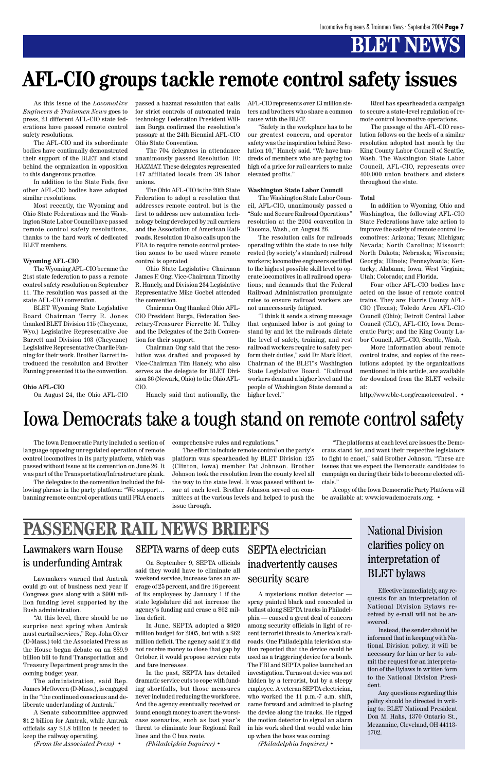As this issue of the *Locomotive Engineers & Trainmen News* goes to press, 21 different AFL-CIO state federations have passed remote control safety resolutions.

The AFL-CIO and its subordinate bodies have continually demonstrated their support of the BLET and stand behind the organization in opposition to this dangerous practice.

In addition to the State Feds, five other AFL-CIO bodies have adopted similar resolutions.

Most recently, the Wyoming and Ohio State Federations and the Washington State Labor Council have passed remote control safety resolutions, thanks to the hard work of dedicated BLET members.

#### **Wyoming AFL-CIO**

The Wyoming AFL-CIO became the 21st state federation to pass a remote control safety resolution on September 11. The resolution was passed at the state AFL-CIO convention.

BLET Wyoming State Legislative Board Chairman Terry R. Jones thanked BLET Division 115 (Cheyenne, Wyo.) Legislative Representative Joe Barrett and Division 103 (Cheyenne) Legislative Representative Charlie Fanning for their work. Brother Barrett introduced the resolution and Brother Fanning presented it to the convention.

#### **Ohio AFL-CIO**

On August 24, the Ohio AFL-CIO

passed a hazmat resolution that calls for strict controls of automated train technology. Federation President William Burga confirmed the resolution's passage at the 24th Biennial AFL-CIO Ohio State Convention.

The 704 delegates in attendance unanimously passed Resolution 10: HAZMAT. These delegates represented 147 affiliated locals from 38 labor unions.

The Ohio AFL-CIO is the 20th State Federation to adopt a resolution that addresses remote control, but is the first to address new automation technology being developed by rail carriers and the Association of American Railroads. Resolution 10 also calls upon the FRA to require remote control protection zones to be used where remote control is operated.

Ohio State Legislative Chairman James F. Ong, Vice-Chairman Timothy R. Hanely, and Division 234 Legislative Representative Mike Goebel attended the convention.

Chairman Ong thanked Ohio AFL-CIO President Burga, Federation Secretary-Treasurer Pierrette M. Talley and the Delegates of the 24th Convention for their support.

Chairman Ong said that the resolution was drafted and proposed by Vice-Chairman Tim Hanely, who also serves as the delegate for BLET Division 36 (Newark, Ohio) to the Ohio AFL-CIO.

Hanely said that nationally, the

AFL-CIO represents over 13 million sisters and brothers who share a common cause with the BLET.

"Safety in the workplace has to be our greatest concern, and operator safety was the inspiration behind Resolution 10," Hanely said. "We have hundreds of members who are paying too high of a price for rail carriers to make elevated profits."

#### **Washington State Labor Council**

The Washington State Labor Council, AFL-CIO, unanimously passed a "Safe and Secure Railroad Operations" resolution at the 2004 convention in Tacoma, Wash., on August 26.

The resolution calls for railroads operating within the state to use fully rested (by society's standard) railroad workers; locomotive engineers certified to the highest possible skill level to operate locomotives in all railroad operations; and demands that the Federal Railroad Administration promulgate rules to ensure railroad workers are not unnecessarily fatigued.

"I think it sends a strong message that organized labor is not going to stand by and let the railroads dictate the level of safety, training, and rest railroad workers require to safety perform their duties," said Dr. Mark Ricci, Chairman of the BLET's Washington State Legislative Board. "Railroad workers demand a higher level and the people of Washington State demand a higher level."

Ricci has spearheaded a campaign to secure a state-level regulation of remote control locomotive operations.

The passage of the AFL-CIO resolution follows on the heels of a similar resolution adopted last month by the King County Labor Council of Seattle, Wash. The Washington State Labor Council, AFL-CIO, represents over 400,000 union brothers and sisters throughout the state.

#### **Total**

On September 9, SEPTA officials  $\int$  inadvertently causes said they would have to eliminate all weekend service, increase fares an average of 25 percent, and fire 16 percent of its employees by January 1 if the state legislature did not increase the agency's funding and erase a \$62 million deficit. SEPTA warns of deep cuts SEPTA electrician

In addition to Wyoming, Ohio and Washington, the following AFL-CIO State Federations have take action to improve the safety of remote control locomotives: Arizona; Texas; Michigan; Nevada; North Carolina; Missouri; North Dakota; Nebraska; Wisconsin; Georgia; Illinois; Pennsylvania; Kentucky; Alabama; Iowa; West Virginia; Utah; Colorado; and Florida.

Four other AFL-CIO bodies have acted on the issue of remote control trains. They are: Harris County AFL-CIO (Texas); Toledo Area AFL-CIO Council (Ohio); Detroit Central Labor Council (CLC), AFL-CIO; Iowa Democratic Party; and the King County Labor Council, AFL-CIO, Seattle, Wash.

More information about remote control trains, and copies of the resolutions adopted by the organizations mentioned in this article, are available for download from the BLET website at:

http://www.ble-t.org/remotecontrol . •

The Iowa Democratic Party included a section of language opposing unregulated operation of remote control locomotives in its party platform, which was passed without issue at its convention on June 26. It was part of the Transportation/Infrastructure plank.

The delegates to the convention included the following phrase in the party platform: "We support… banning remote control operations until FRA enacts comprehensive rules and regulations."

The effort to include remote control on the party's platform was spearheaded by BLET Division 125 (Clinton, Iowa) member Pat Johnson. Brother Johnson took the resolution from the county level all the way to the state level. It was passed without issue at each level. Brother Johnson served on committees at the various levels and helped to push the issue through.

"The platforms at each level are issues the Democrats stand for, and want their respective legislators to fight to enact," said Brother Johnson. "These are issues that we expect the Democratic candidates to campaign on during their bids to become elected officials."

A copy of the Iowa Democratic Party Platform will be available at: www.iowademocrats.org. •

## Iowa Democrats take a tough stand on remote control safety

## **AFL-CIO groups tackle remote control safety issues**

National Division clarifies policy on interpretation of

### BLET bylaws

Effective immediately, any requests for an interpretation of National Division Bylaws received by e-mail will not be answered.

Instead, the sender should be informed that in keeping with National Division policy, it will be necessary for him or her to submit the request for an interpretation of the Bylaws in written form to the National Division President.

Any questions regarding this policy should be directed in writing to: BLET National President Don M. Hahs, 1370 Ontario St., Mezzanine, Cleveland, OH 44113- 1702.

Lawmakers warn House is underfunding Amtrak

Lawmakers warned that Amtrak could go out of business next year if Congress goes along with a \$900 million funding level supported by the Bush administration.

"At this level, there should be no surprise next spring when Amtrak must curtail services," Rep. John Olver (D-Mass.) told the Associated Press as the House began debate on an \$89.9 billion bill to fund Transportation and Treasury Department programs in the coming budget year.

The administration, said Rep. James McGovern (D-Mass.), is engaged in the "the continued conscious and deliberate underfunding of Amtrak."

A Senate subcommittee approved \$1.2 billion for Amtrak, while Amtrak officials say \$1.8 billion is needed to keep the railway operating.

*(From the Associated Press)* •

In June, SEPTA adopted a \$920 million budget for 2005, but with a \$62 million deficit. The agency said if it did not receive money to close that gap by October, it would propose service cuts and fare increases.

In the past, SEPTA has detailed dramatic service cuts to cope with funding shortfalls, but those measures never included reducing the workforce. And the agency eventually received or found enough money to avert the worstcase scenarios, such as last year's threat to eliminate four Regional Rail lines and the C bus route.

*(Philadelphia Inquirer)* •

### security scare

A mysterious motion detector spray painted black and concealed in ballast along SEPTA tracks in Philadelphia — caused a great deal of concern among security officials in light of recent terrorist threats to America's railroads. One Philadelphia television station reported that the device could be used as a triggering device for a bomb. The FBI and SEPTA police launched an investigation. Turns out device was not hidden by a terrorist, but by a sleepy employee. A veteran SEPTA electrician, who worked the 11 p.m.-7 a.m. shift, came forward and admitted to placing the device along the tracks. He rigged the motion detector to signal an alarm in his work shed that would wake him up when the boss was coming.

*(Philadelphia Inquirer.)* •

## **PASSENGER RAIL NEWS BRIEFS**